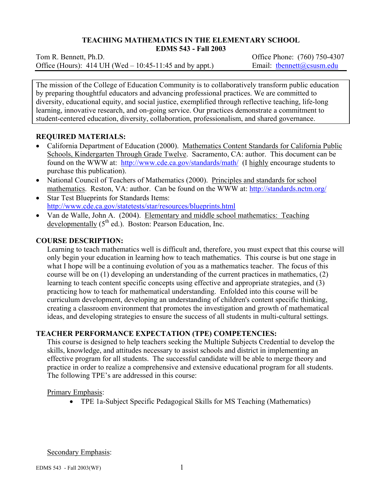# **TEACHING MATHEMATICS IN THE ELEMENTARY SCHOOL**

**EDMS 543 - Fall 2003** 

Tom R. Bennett, Ph.D. *Commercial Contract Contract Contract Contract Contract Contract Contract Contract Contract Contract Contract Contract Contract Contract Contract Contract Contract Contract Contract Contract Contrac* Office (Hours): 414 UH (Wed – 10:45-11:45 and by appt.) Email: then ett $(\partial \cos \theta)$  edu

The mission of the College of Education Community is to collaboratively transform public education by preparing thoughtful educators and advancing professional practices. We are committed to diversity, educational equity, and social justice, exemplified through reflective teaching, life-long learning, innovative research, and on-going service. Our practices demonstrate a commitment to student-centered education, diversity, collaboration, professionalism, and shared governance.

## **REQUIRED MATERIALS:**

- California Department of Education (2000). Mathematics Content Standards for California Public Schools, Kindergarten Through Grade Twelve. Sacramento, CA: author. This document can be found on the WWW at: http://www.cde.ca.gov/standards/math/ (I highly encourage students to purchase this publication).
- National Council of Teachers of Mathematics (2000). Principles and standards for school mathematics. Reston, VA: author. Can be found on the WWW at: http://standards.nctm.org/
- Star Test Blueprints for Standards Items: http://www.cde.ca.gov/statetests/star/resources/blueprints.html
- Van de Walle, John A. (2004). Elementary and middle school mathematics: Teaching developmentally  $(5^{th}$  ed.). Boston: Pearson Education, Inc.

## **COURSE DESCRIPTION:**

Learning to teach mathematics well is difficult and, therefore, you must expect that this course will only begin your education in learning how to teach mathematics. This course is but one stage in what I hope will be a continuing evolution of you as a mathematics teacher. The focus of this course will be on (1) developing an understanding of the current practices in mathematics, (2) learning to teach content specific concepts using effective and appropriate strategies, and (3) practicing how to teach for mathematical understanding. Enfolded into this course will be curriculum development, developing an understanding of children's content specific thinking, creating a classroom environment that promotes the investigation and growth of mathematical ideas, and developing strategies to ensure the success of all students in multi-cultural settings.

# **TEACHER PERFORMANCE EXPECTATION (TPE) COMPETENCIES:**

This course is designed to help teachers seeking the Multiple Subjects Credential to develop the skills, knowledge, and attitudes necessary to assist schools and district in implementing an effective program for all students. The successful candidate will be able to merge theory and practice in order to realize a comprehensive and extensive educational program for all students. The following TPE's are addressed in this course:

Primary Emphasis:

• TPE 1a-Subject Specific Pedagogical Skills for MS Teaching (Mathematics)

Secondary Emphasis: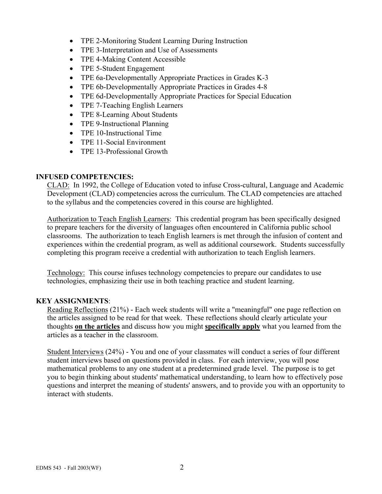- TPE 2-Monitoring Student Learning During Instruction
- TPE 3-Interpretation and Use of Assessments
- TPE 4-Making Content Accessible
- TPE 5-Student Engagement
- TPE 6a-Developmentally Appropriate Practices in Grades K-3
- TPE 6b-Developmentally Appropriate Practices in Grades 4-8
- TPE 6d-Developmentally Appropriate Practices for Special Education
- TPE 7-Teaching English Learners
- TPE 8-Learning About Students
- TPE 9-Instructional Planning
- TPE 10-Instructional Time
- TPE 11-Social Environment
- TPE 13-Professional Growth

## **INFUSED COMPETENCIES:**

CLAD: In 1992, the College of Education voted to infuse Cross-cultural, Language and Academic Development (CLAD) competencies across the curriculum. The CLAD competencies are attached to the syllabus and the competencies covered in this course are highlighted.

Authorization to Teach English Learners: This credential program has been specifically designed to prepare teachers for the diversity of languages often encountered in California public school classrooms. The authorization to teach English learners is met through the infusion of content and experiences within the credential program, as well as additional coursework. Students successfully completing this program receive a credential with authorization to teach English learners.

Technology: This course infuses technology competencies to prepare our candidates to use technologies, emphasizing their use in both teaching practice and student learning.

## **KEY ASSIGNMENTS**:

Reading Reflections (21%) - Each week students will write a "meaningful" one page reflection on the articles assigned to be read for that week. These reflections should clearly articulate your thoughts **on the articles** and discuss how you might **specifically apply** what you learned from the articles as a teacher in the classroom.

Student Interviews (24%) - You and one of your classmates will conduct a series of four different student interviews based on questions provided in class. For each interview, you will pose mathematical problems to any one student at a predetermined grade level. The purpose is to get you to begin thinking about students' mathematical understanding, to learn how to effectively pose questions and interpret the meaning of students' answers, and to provide you with an opportunity to interact with students.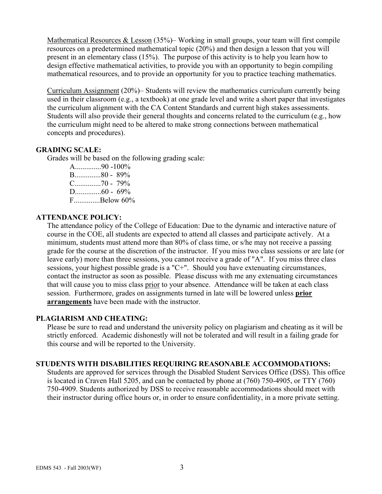Mathematical Resources & Lesson (35%)– Working in small groups, your team will first compile resources on a predetermined mathematical topic (20%) and then design a lesson that you will present in an elementary class (15%). The purpose of this activity is to help you learn how to design effective mathematical activities, to provide you with an opportunity to begin compiling mathematical resources, and to provide an opportunity for you to practice teaching mathematics.

Curriculum Assignment (20%)– Students will review the mathematics curriculum currently being used in their classroom (e.g., a textbook) at one grade level and write a short paper that investigates the curriculum alignment with the CA Content Standards and current high stakes assessments. Students will also provide their general thoughts and concerns related to the curriculum (e.g., how the curriculum might need to be altered to make strong connections between mathematical concepts and procedures).

## **GRADING SCALE:**

Grades will be based on the following grading scale:

A..............90 -100% B..............80 - 89% C..............70 - 79% D..............60 - 69% F..............Below 60%

## **ATTENDANCE POLICY:**

The attendance policy of the College of Education: Due to the dynamic and interactive nature of course in the COE, all students are expected to attend all classes and participate actively. At a minimum, students must attend more than 80% of class time, or s/he may not receive a passing grade for the course at the discretion of the instructor. If you miss two class sessions or are late (or leave early) more than three sessions, you cannot receive a grade of "A". If you miss three class sessions, your highest possible grade is a "C+". Should you have extenuating circumstances, contact the instructor as soon as possible. Please discuss with me any extenuating circumstances that will cause you to miss class prior to your absence. Attendance will be taken at each class session. Furthermore, grades on assignments turned in late will be lowered unless **prior arrangements** have been made with the instructor.

## **PLAGIARISM AND CHEATING:**

Please be sure to read and understand the university policy on plagiarism and cheating as it will be strictly enforced. Academic dishonestly will not be tolerated and will result in a failing grade for this course and will be reported to the University.

## **STUDENTS WITH DISABILITIES REQUIRING REASONABLE ACCOMMODATIONS:**

Students are approved for services through the Disabled Student Services Office (DSS). This office is located in Craven Hall 5205, and can be contacted by phone at (760) 750-4905, or TTY (760) 750-4909. Students authorized by DSS to receive reasonable accommodations should meet with their instructor during office hours or, in order to ensure confidentiality, in a more private setting.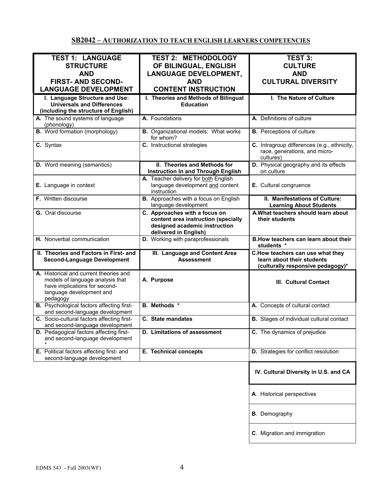# **SB2042 – AUTHORIZATION TO TEACH ENGLISH LEARNERS COMPETENCIES**

| <b>TEST 1: LANGUAGE</b>                          | <b>TEST 2: METHODOLOGY</b>                  | TEST 3:                                         |
|--------------------------------------------------|---------------------------------------------|-------------------------------------------------|
| <b>STRUCTURE</b>                                 | OF BILINGUAL, ENGLISH                       | <b>CULTURE</b>                                  |
| <b>AND</b>                                       | <b>LANGUAGE DEVELOPMENT,</b>                | <b>AND</b>                                      |
|                                                  |                                             |                                                 |
| <b>FIRST-AND SECOND-</b>                         | <b>AND</b>                                  | <b>CULTURAL DIVERSITY</b>                       |
| <b>LANGUAGE DEVELOPMENT</b>                      | <b>CONTENT INSTRUCTION</b>                  |                                                 |
| I. Language Structure and Use:                   | I. Theories and Methods of Bilingual        | I. The Nature of Culture                        |
| <b>Universals and Differences</b>                | <b>Education</b>                            |                                                 |
| (including the structure of English)             |                                             |                                                 |
|                                                  |                                             |                                                 |
| A. The sound systems of language                 | A. Foundations                              | A. Definitions of culture                       |
| (phonology)                                      |                                             |                                                 |
| <b>B.</b> Word formation (morphology)            | <b>B.</b> Organizational models: What works | <b>B.</b> Perceptions of culture                |
|                                                  | for whom?                                   |                                                 |
| C. Syntax                                        | C. Instructional strategies                 | C. Intragroup differences (e.g., ethnicity,     |
|                                                  |                                             | race, generations, and micro-                   |
|                                                  |                                             | cultures)                                       |
| <b>D.</b> Word meaning (semantics)               | II. Theories and Methods for                | D. Physical geography and its effects           |
|                                                  | <b>Instruction In and Through English</b>   | on culture                                      |
|                                                  | A. Teacher delivery for both English        |                                                 |
|                                                  | language development and content            |                                                 |
| E. Language in context                           |                                             | E. Cultural congruence                          |
|                                                  | instruction                                 |                                                 |
| F. Written discourse                             | B. Approaches with a focus on English       | II. Manifestations of Culture:                  |
|                                                  | language development                        | <b>Learning About Students</b>                  |
| <b>G.</b> Oral discourse                         | C. Approaches with a focus on               | A. What teachers should learn about             |
|                                                  | content area instruction (specially         | their students                                  |
|                                                  | designed academic instruction               |                                                 |
|                                                  | delivered in English)                       |                                                 |
| H. Nonverbal communication                       | D. Working with paraprofessionals           | B. How teachers can learn about their           |
|                                                  |                                             | students *                                      |
| II. Theories and Factors in First- and           |                                             |                                                 |
|                                                  | III. Language and Content Area              | C.How teachers can use what they                |
| <b>Second-Language Development</b>               | <b>Assessment</b>                           | learn about their students                      |
|                                                  |                                             | (culturally responsive pedagogy)*               |
| A. Historical and current theories and           |                                             |                                                 |
| models of language analysis that                 | A. Purpose                                  | <b>III. Cultural Contact</b>                    |
| have implications for second-                    |                                             |                                                 |
| language development and                         |                                             |                                                 |
| pedagogy                                         |                                             |                                                 |
| <b>B.</b> Psychological factors affecting first- | <b>B.</b> Methods *                         | A. Concepts of cultural contact                 |
| and second-language development                  |                                             |                                                 |
| C. Socio-cultural factors affecting first-       | C. State mandates                           | <b>B.</b> Stages of individual cultural contact |
| and second-language development                  |                                             |                                                 |
| D. Pedagogical factors affecting first-          | D. Limitations of assessment                | C. The dynamics of prejudice                    |
| and second-language development                  |                                             |                                                 |
|                                                  |                                             |                                                 |
| E. Political factors affecting first- and        | E. Technical concepts                       | D. Strategies for conflict resolution           |
| second-language development                      |                                             |                                                 |
|                                                  |                                             |                                                 |
|                                                  |                                             |                                                 |
|                                                  |                                             | IV. Cultural Diversity in U.S. and CA           |
|                                                  |                                             |                                                 |
|                                                  |                                             |                                                 |
|                                                  |                                             |                                                 |
|                                                  |                                             |                                                 |
|                                                  |                                             | A. Historical perspectives                      |
|                                                  |                                             |                                                 |
|                                                  |                                             |                                                 |
|                                                  |                                             | <b>B</b> . Demography                           |
|                                                  |                                             |                                                 |
|                                                  |                                             | C. Migration and immigration                    |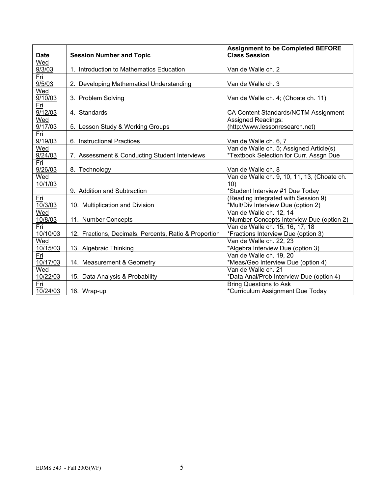| <b>Date</b> | <b>Session Number and Topic</b>                       | <b>Assignment to be Completed BEFORE</b><br><b>Class Session</b> |
|-------------|-------------------------------------------------------|------------------------------------------------------------------|
| Wed         |                                                       |                                                                  |
| 9/3/03      | 1. Introduction to Mathematics Education              | Van de Walle ch. 2                                               |
| Fri         |                                                       |                                                                  |
| 9/5/03      | 2. Developing Mathematical Understanding              | Van de Walle ch. 3                                               |
| Wed         |                                                       |                                                                  |
| 9/10/03     | 3. Problem Solving                                    | Van de Walle ch. 4; (Choate ch. 11)                              |
| Fri         |                                                       |                                                                  |
| 9/12/03     | 4. Standards                                          | CA Content Standards/NCTM Assignment                             |
| Wed         |                                                       | <b>Assigned Readings:</b>                                        |
| 9/17/03     | 5. Lesson Study & Working Groups                      | (http://www.lessonresearch.net)                                  |
| <u>Fri</u>  |                                                       |                                                                  |
| 9/19/03     | 6. Instructional Practices                            | Van de Walle ch. 6, 7                                            |
| Wed         |                                                       | Van de Walle ch. 5; Assigned Article(s)                          |
| 9/24/03     | 7. Assessment & Conducting Student Interviews         | *Textbook Selection for Curr. Assgn Due                          |
| Fri         |                                                       |                                                                  |
| 9/26/03     | 8. Technology                                         | Van de Walle ch. 8                                               |
| Wed         |                                                       | Van de Walle ch. 9, 10, 11, 13, (Choate ch.                      |
| 10/1/03     |                                                       | 10)                                                              |
|             | 9. Addition and Subtraction                           | *Student Interview #1 Due Today                                  |
| Fri         |                                                       | (Reading integrated with Session 9)                              |
| 10/3/03     | 10. Multiplication and Division                       | *Mult/Div Interview Due (option 2)                               |
| Wed         |                                                       | Van de Walle ch. 12, 14                                          |
| 10/8/03     | 11. Number Concepts                                   | *Number Concepts Interview Due (option 2)                        |
| Fri         |                                                       | Van de Walle ch. 15, 16, 17, 18                                  |
| 10/10/03    | 12. Fractions, Decimals, Percents, Ratio & Proportion | *Fractions Interview Due (option 3)                              |
| Wed         |                                                       | Van de Walle ch. 22, 23                                          |
| 10/15/03    | 13. Algebraic Thinking                                | *Algebra Interview Due (option 3)                                |
| Fri         |                                                       | Van de Walle ch. 19, 20                                          |
| 10/17/03    | 14. Measurement & Geometry                            | *Meas/Geo Interview Due (option 4)                               |
| Wed         |                                                       | Van de Walle ch. 21                                              |
| 10/22/03    | 15. Data Analysis & Probability                       | *Data Anal/Prob Interview Due (option 4)                         |
| Fri         |                                                       | <b>Bring Questions to Ask</b>                                    |
| 10/24/03    | 16. Wrap-up                                           | *Curriculum Assignment Due Today                                 |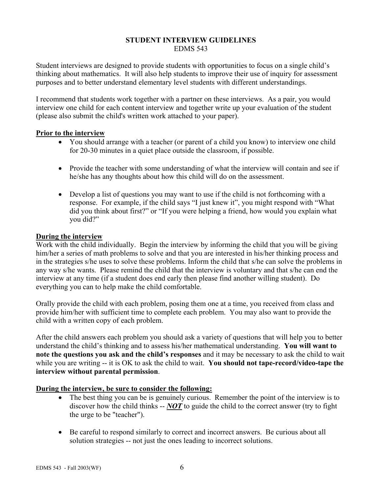#### **STUDENT INTERVIEW GUIDELINES**  EDMS 543

Student interviews are designed to provide students with opportunities to focus on a single child's thinking about mathematics. It will also help students to improve their use of inquiry for assessment purposes and to better understand elementary level students with different understandings.

I recommend that students work together with a partner on these interviews. As a pair, you would interview one child for each content interview and together write up your evaluation of the student (please also submit the child's written work attached to your paper).

## **Prior to the interview**

- You should arrange with a teacher (or parent of a child you know) to interview one child for 20-30 minutes in a quiet place outside the classroom, if possible.
- Provide the teacher with some understanding of what the interview will contain and see if he/she has any thoughts about how this child will do on the assessment.
- Develop a list of questions you may want to use if the child is not forthcoming with a response. For example, if the child says "I just knew it", you might respond with "What did you think about first?" or "If you were helping a friend, how would you explain what you did?"

## **During the interview**

Work with the child individually. Begin the interview by informing the child that you will be giving him/her a series of math problems to solve and that you are interested in his/her thinking process and in the strategies s/he uses to solve these problems. Inform the child that s/he can solve the problems in any way s/he wants. Please remind the child that the interview is voluntary and that s/he can end the interview at any time (if a student does end early then please find another willing student). Do everything you can to help make the child comfortable.

Orally provide the child with each problem, posing them one at a time, you received from class and provide him/her with sufficient time to complete each problem. You may also want to provide the child with a written copy of each problem.

After the child answers each problem you should ask a variety of questions that will help you to better understand the child's thinking and to assess his/her mathematical understanding. **You will want to note the questions you ask and the child's responses** and it may be necessary to ask the child to wait while you are writing -- it is OK to ask the child to wait. **You should not tape-record/video-tape the interview without parental permission**.

# **During the interview, be sure to consider the following:**

- The best thing you can be is genuinely curious. Remember the point of the interview is to discover how the child thinks -- *NOT* to guide the child to the correct answer (try to fight the urge to be "teacher").
- Be careful to respond similarly to correct and incorrect answers. Be curious about all solution strategies -- not just the ones leading to incorrect solutions.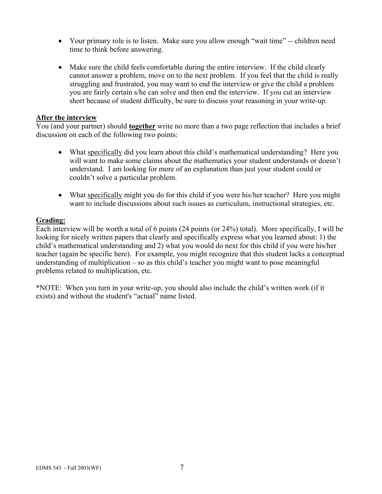- Your primary role is to listen. Make sure you allow enough "wait time" -- children need time to think before answering.
- Make sure the child feels comfortable during the entire interview. If the child clearly cannot answer a problem, move on to the next problem. If you feel that the child is really struggling and frustrated, you may want to end the interview or give the child a problem you are fairly certain s/he can solve and then end the interview. If you cut an interview short because of student difficulty, be sure to discuss your reasoning in your write-up.

#### **After the interview**

You (and your partner) should **together** write no more than a two page reflection that includes a brief discussion on each of the following two points:

- What specifically did you learn about this child's mathematical understanding? Here you will want to make some claims about the mathematics your student understands or doesn't understand. I am looking for more of an explanation than just your student could or couldn't solve a particular problem.
- What specifically might you do for this child if you were his/her teacher? Here you might want to include discussions about such issues as curriculum, instructional strategies, etc.

## **Grading:**

Each interview will be worth a total of 6 points (24 points (or 24%) total). More specifically, I will be looking for nicely written papers that clearly and specifically express what you learned about: 1) the child's mathematical understanding and 2) what you would do next for this child if you were his/her teacher (again be specific here). For example, you might recognize that this student lacks a conceptual understanding of multiplication – so as this child's teacher you might want to pose meaningful problems related to multiplication, etc.

\*NOTE: When you turn in your write-up, you should also include the child's written work (if it exists) and without the student's "actual" name listed.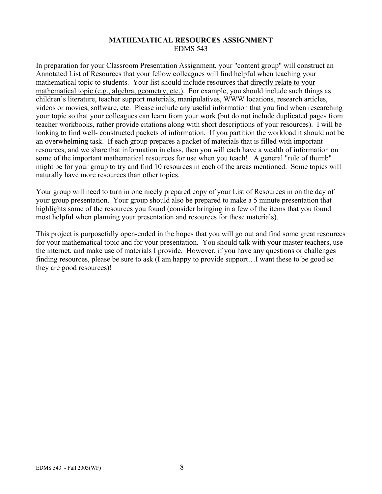## **MATHEMATICAL RESOURCES ASSIGNMENT**  EDMS 543

In preparation for your Classroom Presentation Assignment, your "content group" will construct an Annotated List of Resources that your fellow colleagues will find helpful when teaching your mathematical topic to students. Your list should include resources that directly relate to your mathematical topic (e.g., algebra, geometry, etc.). For example, you should include such things as children's literature, teacher support materials, manipulatives, WWW locations, research articles, videos or movies, software, etc. Please include any useful information that you find when researching your topic so that your colleagues can learn from your work (but do not include duplicated pages from teacher workbooks, rather provide citations along with short descriptions of your resources). I will be looking to find well- constructed packets of information. If you partition the workload it should not be an overwhelming task. If each group prepares a packet of materials that is filled with important resources, and we share that information in class, then you will each have a wealth of information on some of the important mathematical resources for use when you teach! A general "rule of thumb" might be for your group to try and find 10 resources in each of the areas mentioned. Some topics will naturally have more resources than other topics.

Your group will need to turn in one nicely prepared copy of your List of Resources in on the day of your group presentation. Your group should also be prepared to make a 5 minute presentation that highlights some of the resources you found (consider bringing in a few of the items that you found most helpful when planning your presentation and resources for these materials).

This project is purposefully open-ended in the hopes that you will go out and find some great resources for your mathematical topic and for your presentation. You should talk with your master teachers, use the internet, and make use of materials I provide. However, if you have any questions or challenges finding resources, please be sure to ask (I am happy to provide support…I want these to be good so they are good resources)!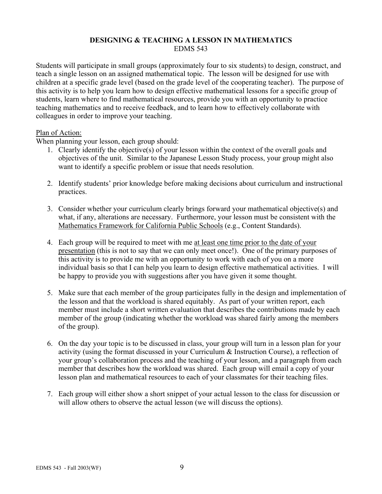## **DESIGNING & TEACHING A LESSON IN MATHEMATICS**  EDMS 543

Students will participate in small groups (approximately four to six students) to design, construct, and teach a single lesson on an assigned mathematical topic. The lesson will be designed for use with children at a specific grade level (based on the grade level of the cooperating teacher). The purpose of this activity is to help you learn how to design effective mathematical lessons for a specific group of students, learn where to find mathematical resources, provide you with an opportunity to practice teaching mathematics and to receive feedback, and to learn how to effectively collaborate with colleagues in order to improve your teaching.

## Plan of Action:

When planning your lesson, each group should:

- 1. Clearly identify the objective(s) of your lesson within the context of the overall goals and objectives of the unit. Similar to the Japanese Lesson Study process, your group might also want to identify a specific problem or issue that needs resolution.
- 2. Identify students' prior knowledge before making decisions about curriculum and instructional practices.
- 3. Consider whether your curriculum clearly brings forward your mathematical objective(s) and what, if any, alterations are necessary. Furthermore, your lesson must be consistent with the Mathematics Framework for California Public Schools (e.g., Content Standards).
- 4. Each group will be required to meet with me at least one time prior to the date of your presentation (this is not to say that we can only meet once!). One of the primary purposes of this activity is to provide me with an opportunity to work with each of you on a more individual basis so that I can help you learn to design effective mathematical activities. I will be happy to provide you with suggestions after you have given it some thought.
- 5. Make sure that each member of the group participates fully in the design and implementation of the lesson and that the workload is shared equitably. As part of your written report, each member must include a short written evaluation that describes the contributions made by each member of the group (indicating whether the workload was shared fairly among the members of the group).
- 6. On the day your topic is to be discussed in class, your group will turn in a lesson plan for your activity (using the format discussed in your Curriculum & Instruction Course), a reflection of your group's collaboration process and the teaching of your lesson, and a paragraph from each member that describes how the workload was shared. Each group will email a copy of your lesson plan and mathematical resources to each of your classmates for their teaching files.
- 7. Each group will either show a short snippet of your actual lesson to the class for discussion or will allow others to observe the actual lesson (we will discuss the options).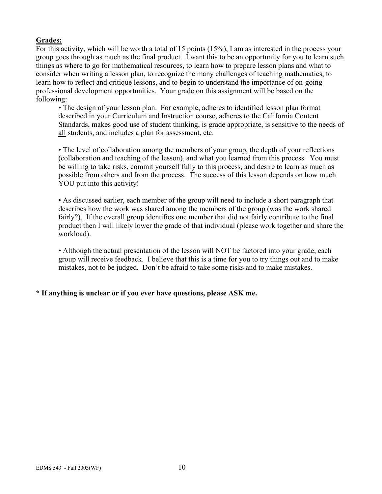# **Grades:**

For this activity, which will be worth a total of 15 points (15%), I am as interested in the process your group goes through as much as the final product. I want this to be an opportunity for you to learn such things as where to go for mathematical resources, to learn how to prepare lesson plans and what to consider when writing a lesson plan, to recognize the many challenges of teaching mathematics, to learn how to reflect and critique lessons, and to begin to understand the importance of on-going professional development opportunities. Your grade on this assignment will be based on the following:

• The design of your lesson plan. For example, adheres to identified lesson plan format described in your Curriculum and Instruction course, adheres to the California Content Standards, makes good use of student thinking, is grade appropriate, is sensitive to the needs of all students, and includes a plan for assessment, etc.

• The level of collaboration among the members of your group, the depth of your reflections (collaboration and teaching of the lesson), and what you learned from this process. You must be willing to take risks, commit yourself fully to this process, and desire to learn as much as possible from others and from the process. The success of this lesson depends on how much YOU put into this activity!

• As discussed earlier, each member of the group will need to include a short paragraph that describes how the work was shared among the members of the group (was the work shared fairly?). If the overall group identifies one member that did not fairly contribute to the final product then I will likely lower the grade of that individual (please work together and share the workload).

• Although the actual presentation of the lesson will NOT be factored into your grade, each group will receive feedback. I believe that this is a time for you to try things out and to make mistakes, not to be judged. Don't be afraid to take some risks and to make mistakes.

# **\* If anything is unclear or if you ever have questions, please ASK me.**